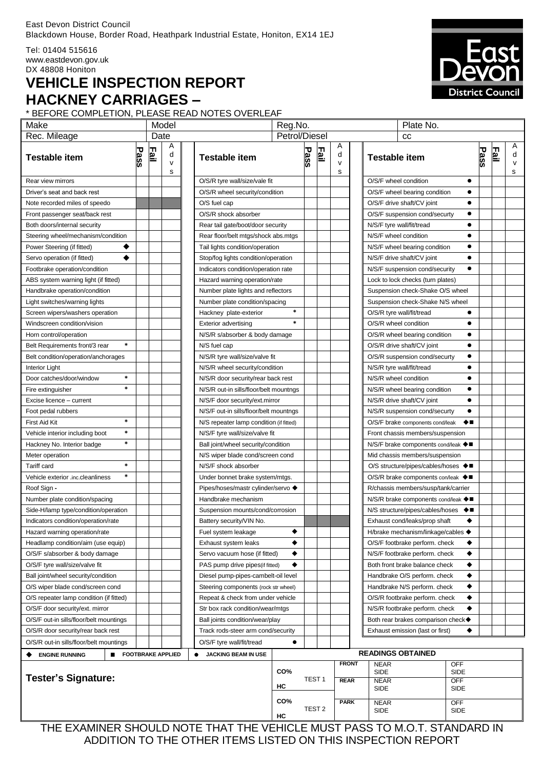Tel: 01404 515616 www.eastdevon.gov.uk DX 48808 Honiton

## **VEHICLE INSPECTION REPORT HACKNEY CARRIAGES –**

\* BEFORE COMPLETION, PLEASE READ NOTES OVERLEAF



| Make                                                                                                        |        | Model |      |                             |                                      | Reg.No.                                 |                   |             |             |                             | Plate No.             |                                    |                                                               |                    |             |      |                             |
|-------------------------------------------------------------------------------------------------------------|--------|-------|------|-----------------------------|--------------------------------------|-----------------------------------------|-------------------|-------------|-------------|-----------------------------|-----------------------|------------------------------------|---------------------------------------------------------------|--------------------|-------------|------|-----------------------------|
| Rec. Mileage                                                                                                |        | Date  |      |                             | Petrol/Diesel                        |                                         |                   |             |             | cс                          |                       |                                    |                                                               |                    |             |      |                             |
| <b>Testable item</b>                                                                                        |        | Pass  | Fail | A<br>d<br>$\mathsf{v}$<br>s |                                      | <b>Testable item</b>                    |                   | <u>Pass</u> | <u>Fail</u> | A<br>d<br>$\mathsf{v}$<br>s |                       | <b>Testable item</b>               |                                                               |                    | <u>Pass</u> | Fail | Α<br>d<br>$\mathsf{v}$<br>s |
| Rear view mirrors                                                                                           |        |       |      |                             |                                      | O/S/R tyre wall/size/vale fit           |                   |             |             |                             |                       | O/S/F wheel condition              |                                                               |                    |             |      |                             |
| Driver's seat and back rest                                                                                 |        |       |      |                             |                                      | O/S/R wheel security/condition          |                   |             |             |                             |                       |                                    | O/S/F wheel bearing condition                                 |                    |             |      |                             |
| Note recorded miles of speedo                                                                               |        |       |      |                             |                                      | O/S fuel cap                            |                   |             |             |                             |                       |                                    | O/S/F drive shaft/CV joint                                    | ٠                  |             |      |                             |
| Front passenger seat/back rest                                                                              |        |       |      |                             |                                      | O/S/R shock absorber                    |                   |             |             |                             |                       |                                    | O/S/F suspension cond/securty                                 | ٠                  |             |      |                             |
| Both doors/internal security                                                                                |        |       |      |                             | Rear tail gate/boot/door security    |                                         |                   |             |             |                             |                       | N/S/F tyre wall/fit/tread          |                                                               |                    |             |      |                             |
| Steering wheel/mechanism/condition                                                                          |        |       |      |                             | Rear floor/belt mtgs/shock abs.mtgs  |                                         |                   |             |             |                             | N/S/F wheel condition |                                    |                                                               |                    |             |      |                             |
| Power Steering (if fitted)                                                                                  |        |       |      |                             | Tail lights condition/operation      |                                         |                   |             |             |                             |                       | N/S/F wheel bearing condition      |                                                               |                    |             |      |                             |
| Servo operation (if fitted)                                                                                 |        |       |      |                             |                                      | Stop/fog lights condition/operation     |                   |             |             |                             |                       |                                    | N/S/F drive shaft/CV joint                                    |                    |             |      |                             |
| Footbrake operation/condition                                                                               |        |       |      |                             |                                      | Indicators condition/operation rate     |                   |             |             |                             |                       |                                    | N/S/F suspension cond/security                                | $\bullet$          |             |      |                             |
| ABS system warning light (if fitted)                                                                        |        |       |      |                             |                                      | Hazard warning operation/rate           |                   |             |             |                             |                       |                                    | Lock to lock checks (turn plates)                             |                    |             |      |                             |
| Handbrake operation/condition                                                                               |        |       |      |                             |                                      | Number plate lights and reflectors      |                   |             |             |                             |                       |                                    | Suspension check-Shake O/S wheel                              |                    |             |      |                             |
| Light switches/warning lights                                                                               |        |       |      |                             |                                      | Number plate condition/spacing          |                   |             |             |                             |                       |                                    | Suspension check-Shake N/S wheel                              |                    |             |      |                             |
| Screen wipers/washers operation                                                                             |        |       |      |                             |                                      | Hackney plate-exterior                  | $\ast$            |             |             |                             |                       |                                    | O/S/R tyre wall/fit/tread                                     | ٠                  |             |      |                             |
| Windscreen condition/vision                                                                                 |        |       |      |                             |                                      | <b>Exterior advertising</b>             | $\ast$            |             |             |                             |                       |                                    | O/S/R wheel condition                                         | $\bullet$          |             |      |                             |
| Horn control/operation                                                                                      |        |       |      |                             |                                      | N/S/R s/absorber & body damage          |                   |             |             |                             |                       |                                    | O/S/R wheel bearing condition                                 | ٠                  |             |      |                             |
| Belt Requirements front/3 rear                                                                              |        |       |      |                             |                                      | N/S fuel cap                            |                   |             |             |                             |                       |                                    | O/S/R drive shaft/CV joint                                    | $\bullet$          |             |      |                             |
| Belt condition/operation/anchorages                                                                         |        |       |      |                             |                                      | N/S/R tyre wall/size/valve fit          |                   |             |             |                             |                       |                                    | O/S/R suspension cond/securty                                 | $\bullet$          |             |      |                             |
| Interior Light                                                                                              |        |       |      |                             |                                      | N/S/R wheel security/condition          |                   |             |             |                             |                       |                                    | N/S/R tyre wall/fit/tread                                     |                    |             |      |                             |
| Door catches/door/window                                                                                    |        |       |      |                             |                                      | N/S/R door security/rear back rest      |                   |             |             |                             |                       |                                    | N/S/R wheel condition                                         |                    |             |      |                             |
| Fire extinguisher                                                                                           |        |       |      |                             |                                      | N/S/R out-in sills/floor/belt mountngs  |                   |             |             |                             |                       |                                    | N/S/R wheel bearing condition                                 |                    |             |      |                             |
| Excise licence - current                                                                                    |        |       |      |                             |                                      | N/S/F door security/ext.mirror          |                   |             |             |                             |                       |                                    | N/S/R drive shaft/CV joint                                    |                    |             |      |                             |
| Foot pedal rubbers                                                                                          |        |       |      |                             |                                      | N/S/F out-in sills/floor/belt mountngs  |                   |             |             |                             |                       |                                    | N/S/R suspension cond/securty                                 |                    |             |      |                             |
| First Aid Kit                                                                                               |        |       |      |                             |                                      | N/S repeater lamp condition (if fitted) |                   |             |             |                             |                       |                                    | O/S/F brake components cond/leak                              | ◆■                 |             |      |                             |
| Vehicle interior including boot                                                                             | $\ast$ |       |      |                             |                                      | N/S/F tyre wall/size/valve fit          |                   |             |             |                             |                       |                                    | Front chassis members/suspension                              |                    |             |      |                             |
| Hackney No. Interior badge                                                                                  |        |       |      |                             |                                      | Ball joint/wheel security/condition     |                   |             |             |                             |                       |                                    | N/S/F brake components cond/leak $\blacklozenge \blacksquare$ |                    |             |      |                             |
| Meter operation                                                                                             |        |       |      |                             |                                      | N/S wiper blade cond/screen cond        |                   |             |             |                             |                       |                                    | Mid chassis members/suspension                                |                    |             |      |                             |
| Tariff card                                                                                                 |        |       |      |                             |                                      | N/S/F shock absorber                    |                   |             |             |                             |                       |                                    | O/S structure/pipes/cables/hoses $\bullet \blacksquare$       |                    |             |      |                             |
| Vehicle exterior .inc.cleanliness                                                                           |        |       |      |                             |                                      | Under bonnet brake system/mtgs.         |                   |             |             |                             |                       |                                    | O/S/R brake components con/leak $\blacklozenge \blacksquare$  |                    |             |      |                             |
| Roof Sign -                                                                                                 |        |       |      |                             |                                      | Pipes/hoses/mastr cylinder/servo ◆      |                   |             |             |                             |                       |                                    | R/chassis members/susp/tank/carrier                           |                    |             |      |                             |
| Number plate condition/spacing                                                                              |        |       |      |                             |                                      | Handbrake mechanism                     |                   |             |             |                             |                       |                                    | N/S/R brake components cond/leak $\blacklozenge \blacksquare$ |                    |             |      |                             |
| Side-H/lamp type/condition/operation                                                                        |        |       |      |                             |                                      | Suspension mounts/cond/corrosion        |                   |             |             |                             |                       |                                    | N/S structure/pipes/cables/hoses ◆■                           |                    |             |      |                             |
| Indicators condition/operation/rate                                                                         |        |       |      |                             | Battery security/VIN No.             |                                         |                   |             |             |                             |                       | Exhaust cond/leaks/prop shaft      | ٠                                                             |                    |             |      |                             |
| Hazard warning operation/rate                                                                               |        |       |      |                             |                                      | Fuel system leakage                     |                   |             |             |                             |                       |                                    | H/brake mechanism/linkage/cables $\blacklozenge$              |                    |             |      |                             |
| Headlamp condition/aim (use equip)                                                                          |        |       |      |                             |                                      | Exhaust system leaks                    | ٠                 |             |             |                             |                       |                                    | O/S/F footbrake perform. check                                | ٠                  |             |      |                             |
| O/S/F s/absorber & body damage                                                                              |        |       |      |                             | Servo vacuum hose (if fitted)        | ٠                                       |                   |             |             |                             |                       | N/S/F footbrake perform. check     | ٠                                                             |                    |             |      |                             |
| O/S/F tyre wall/size/valve fit                                                                              |        |       |      |                             | PAS pump drive pipes(if fitted)      | ٠                                       |                   |             |             |                             |                       | Both front brake balance check     | ٠                                                             |                    |             |      |                             |
| Ball joint/wheel security/condition                                                                         |        |       |      |                             | Diesel pump-pipes-cambelt-oil level  |                                         |                   |             |             |                             |                       | Handbrake O/S perform. check       | ٠                                                             |                    |             |      |                             |
| O/S wiper blade cond/screen cond                                                                            |        |       |      |                             | Steering components (rock str wheel) |                                         |                   |             |             |                             |                       | Handbrake N/S perform. check       | ٠                                                             |                    |             |      |                             |
| O/S repeater lamp condition (if fitted)                                                                     |        |       |      |                             | Repeat & check from under vehicle    |                                         |                   |             |             |                             |                       | O/S/R footbrake perform. check     | ٠                                                             |                    |             |      |                             |
| O/S/F door security/ext. mirror                                                                             |        |       |      |                             | Str box rack condition/wear/mtgs     |                                         |                   |             |             |                             |                       | N/S/R footbrake perform. check     | ٠                                                             |                    |             |      |                             |
| O/S/F out-in sills/floor/belt mountings                                                                     |        |       |      |                             | Ball joints condition/wear/play      |                                         |                   |             |             |                             |                       | Both rear brakes comparison check◆ |                                                               |                    |             |      |                             |
| O/S/R door security/rear back rest                                                                          |        |       |      |                             | Track rods-steer arm cond/security   |                                         |                   |             |             |                             |                       | Exhaust emission (last or first)   | ٠                                                             |                    |             |      |                             |
| O/S/R out-in sills/floor/belt mountings                                                                     |        |       |      |                             | O/S/F tyre wall/fit/tread            | $\bullet$                               |                   |             |             |                             |                       |                                    |                                                               |                    |             |      |                             |
| <b>READINGS OBTAINED</b><br><b>E</b> FOOTBRAKE APPLIED<br>JACKING BEAM IN USE<br><b>ENGINE RUNNING</b><br>٠ |        |       |      |                             |                                      |                                         |                   |             |             |                             |                       |                                    |                                                               |                    |             |      |                             |
|                                                                                                             |        |       |      |                             |                                      |                                         | CO%               |             |             | <b>FRONT</b>                |                       | <b>NEAR</b><br><b>SIDE</b>         |                                                               | <b>OFF</b><br>SIDE |             |      |                             |
| <b>Tester's Signature:</b>                                                                                  |        |       |      |                             |                                      |                                         | TEST <sub>1</sub> |             | <b>REAR</b> |                             | <b>NEAR</b>           |                                    | <b>OFF</b>                                                    |                    |             |      |                             |
|                                                                                                             |        |       |      |                             |                                      |                                         | HC                |             |             |                             |                       | <b>SIDE</b>                        |                                                               | SIDE               |             |      |                             |

THE EXAMINER SHOULD NOTE THAT THE VEHICLE MUST PASS TO M.O.T. STANDARD IN ADDITION TO THE OTHER ITEMS LISTED ON THIS INSPECTION REPORT

**CO%**

**HC**

TEST 2

**PARK** NEAR SIDE

**OFF SIDE**